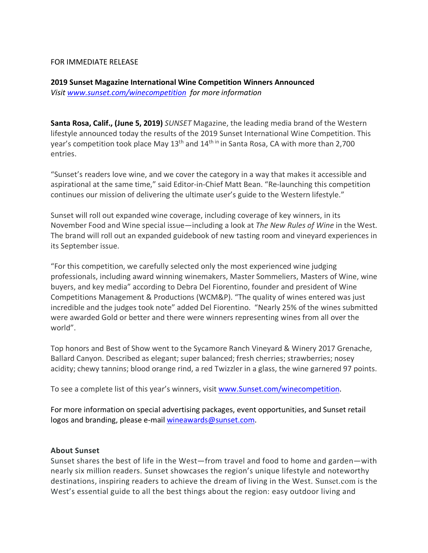## FOR IMMEDIATE RELEASE

## **2019 Sunset Magazine International Wine Competition Winners Announced** *Visit www.sunset.com/winecompetition for more information*

**Santa Rosa, Calif., (June 5, 2019)** *SUNSET* Magazine, the leading media brand of the Western lifestyle announced today the results of the 2019 Sunset International Wine Competition. This year's competition took place May  $13<sup>th</sup>$  and  $14<sup>th in</sup>$  in Santa Rosa, CA with more than 2,700 entries.

"Sunset's readers love wine, and we cover the category in a way that makes it accessible and aspirational at the same time," said Editor-in-Chief Matt Bean. "Re-launching this competition continues our mission of delivering the ultimate user's guide to the Western lifestyle."

Sunset will roll out expanded wine coverage, including coverage of key winners, in its November Food and Wine special issue—including a look at *The New Rules of Wine* in the West. The brand will roll out an expanded guidebook of new tasting room and vineyard experiences in its September issue.

"For this competition, we carefully selected only the most experienced wine judging professionals, including award winning winemakers, Master Sommeliers, Masters of Wine, wine buyers, and key media" according to Debra Del Fiorentino, founder and president of Wine Competitions Management & Productions (WCM&P). "The quality of wines entered was just incredible and the judges took note" added Del Fiorentino. "Nearly 25% of the wines submitted were awarded Gold or better and there were winners representing wines from all over the world".

Top honors and Best of Show went to the Sycamore Ranch Vineyard & Winery 2017 Grenache, Ballard Canyon. Described as elegant; super balanced; fresh cherries; strawberries; nosey acidity; chewy tannins; blood orange rind, a red Twizzler in a glass, the wine garnered 97 points.

To see a complete list of this year's winners, visit www.Sunset.com/winecompetition.

For more information on special advertising packages, event opportunities, and Sunset retail logos and branding, please e-mail wineawards@sunset.com.

## **About Sunset**

Sunset shares the best of life in the West―from travel and food to home and garden―with nearly six million readers. Sunset showcases the region's unique lifestyle and noteworthy destinations, inspiring readers to achieve the dream of living in the West. Sunset.com is the West's essential guide to all the best things about the region: easy outdoor living and